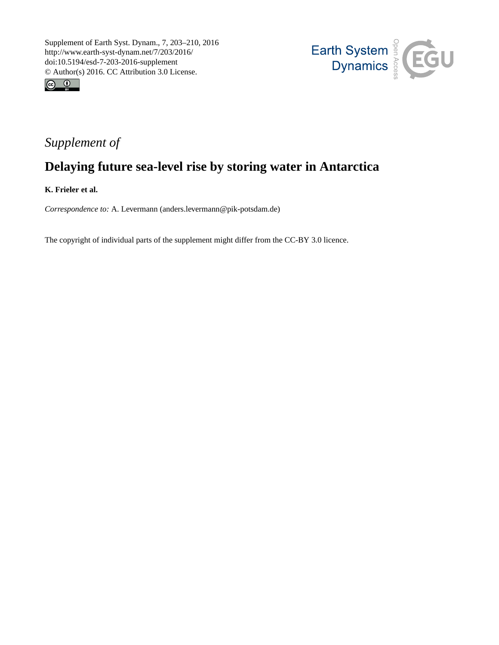



## *Supplement of*

# **Delaying future sea-level rise by storing water in Antarctica**

**K. Frieler et al.**

*Correspondence to:* A. Levermann (anders.levermann@pik-potsdam.de)

The copyright of individual parts of the supplement might differ from the CC-BY 3.0 licence.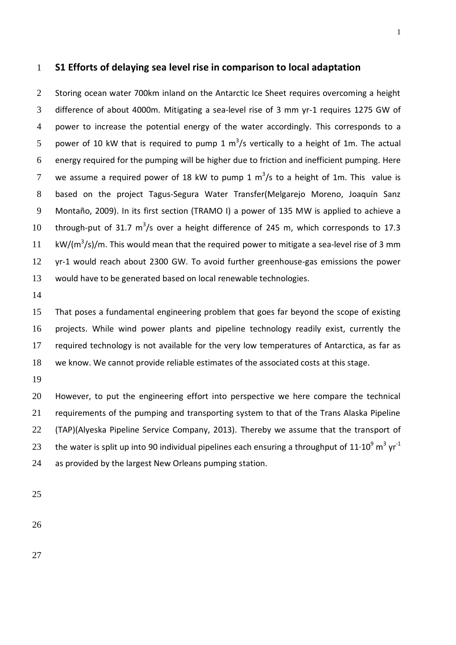#### **S1 Efforts of delaying sea level rise in comparison to local adaptation**

2 Storing ocean water 700km inland on the Antarctic Ice Sheet requires overcoming a height difference of about 4000m. Mitigating a sea-level rise of 3 mm yr-1 requires 1275 GW of power to increase the potential energy of the water accordingly. This corresponds to a 5 power of 10 kW that is required to pump 1  $\text{m}^3$ /s vertically to a height of 1m. The actual energy required for the pumping will be higher due to friction and inefficient pumping. Here 7 we assume a required power of 18 kW to pump 1  $\text{m}^3$ /s to a height of 1m. This value is based on the project Tagus-Segura Water Transfer(Melgarejo Moreno, Joaquín Sanz Montaño, 2009). In its first section (TRAMO I) a power of 135 MW is applied to achieve a 10 through-put of 31.7  $m^3/s$  over a height difference of 245 m, which corresponds to 17.3 11 kW/( $m^3$ /s)/m. This would mean that the required power to mitigate a sea-level rise of 3 mm yr-1 would reach about 2300 GW. To avoid further greenhouse-gas emissions the power would have to be generated based on local renewable technologies.

 That poses a fundamental engineering problem that goes far beyond the scope of existing projects. While wind power plants and pipeline technology readily exist, currently the required technology is not available for the very low temperatures of Antarctica, as far as we know. We cannot provide reliable estimates of the associated costs at this stage.

 However, to put the engineering effort into perspective we here compare the technical requirements of the pumping and transporting system to that of the Trans Alaska Pipeline (TAP)(Alyeska Pipeline Service Company, 2013). Thereby we assume that the transport of the water is split up into 90 individual pipelines each ensuring a throughput of 11 $\cdot$ 10<sup>9</sup> m<sup>3</sup> yr<sup>-1</sup> as provided by the largest New Orleans pumping station.

- 
-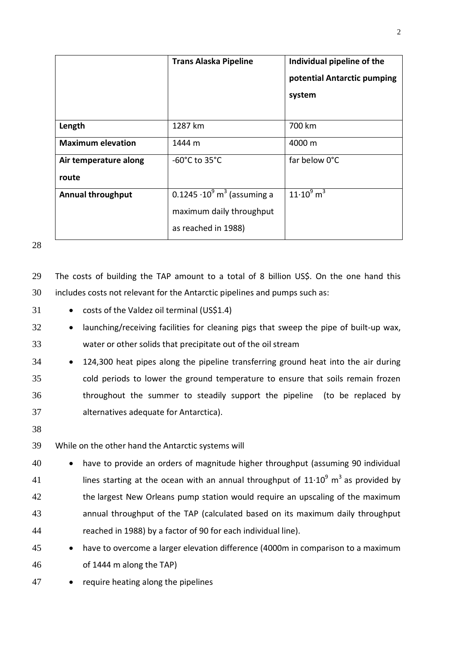|                                | <b>Trans Alaska Pipeline</b>                   | Individual pipeline of the<br>potential Antarctic pumping<br>system |
|--------------------------------|------------------------------------------------|---------------------------------------------------------------------|
| Length                         | 1287 km                                        | 700 km                                                              |
| <b>Maximum elevation</b>       | 1444 m                                         | 4000 m                                                              |
| Air temperature along<br>route | $-60^{\circ}$ C to 35 $^{\circ}$ C             | far below 0°C                                                       |
| <b>Annual throughput</b>       | 0.1245 $\cdot 10^9$ m <sup>3</sup> (assuming a | $11 \cdot 10^{9}$ m <sup>3</sup>                                    |
|                                | maximum daily throughput                       |                                                                     |
|                                | as reached in 1988)                            |                                                                     |

29 The costs of building the TAP amount to a total of 8 billion US\$. On the one hand this 30 includes costs not relevant for the Antarctic pipelines and pumps such as:

- 31 **•** costs of the Valdez oil terminal (US\$1.4)
- 32 launching/receiving facilities for cleaning pigs that sweep the pipe of built-up wax, 33 water or other solids that precipitate out of the oil stream
- 34 124,300 heat pipes along the pipeline transferring ground heat into the air during 35 cold periods to lower the ground temperature to ensure that soils remain frozen 36 throughout the summer to steadily support the pipeline (to be replaced by 37 alternatives adequate for Antarctica).
- 38
- 39 While on the other hand the Antarctic systems will
- 40 have to provide an orders of magnitude higher throughput (assuming 90 individual 41 lines starting at the ocean with an annual throughput of 11 $\cdot$ 10<sup>9</sup> m<sup>3</sup> as provided by 42 the largest New Orleans pump station would require an upscaling of the maximum 43 annual throughput of the TAP (calculated based on its maximum daily throughput 44 reached in 1988) by a factor of 90 for each individual line).
- 45 have to overcome a larger elevation difference (4000m in comparison to a maximum 46 of 1444 m along the TAP)
- 47 require heating along the pipelines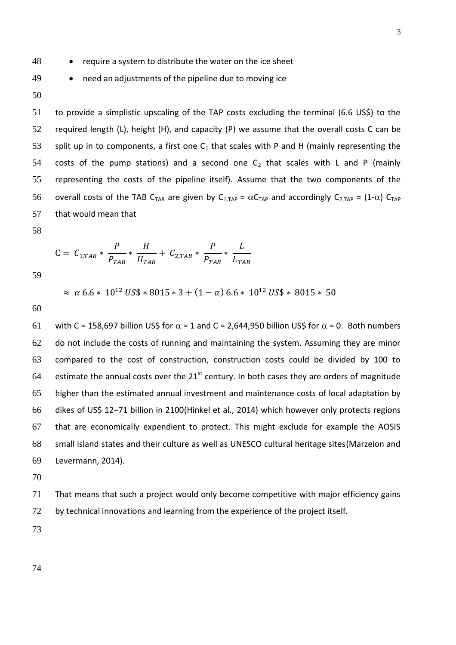48 require a system to distribute the water on the ice sheet

- 49 need an adjustments of the pipeline due to moving ice
- 50

51 to provide a simplistic upscaling of the TAP costs excluding the terminal (6.6 US\$) to the 52 required length (L), height (H), and capacity (P) we assume that the overall costs C can be 53 split up in to components, a first one  $C_1$  that scales with P and H (mainly representing the 54 costs of the pump stations) and a second one  $C_2$  that scales with L and P (mainly 55 representing the costs of the pipeline itself). Assume that the two components of the 56 overall costs of the TAB C<sub>TAB</sub> are given by C<sub>1,TAP</sub> =  $\alpha C_{TAP}$  and accordingly C<sub>2,TAP</sub> = (1- $\alpha$ ) C<sub>TAP</sub> 57 that would mean that

58

$$
C = C_{1, TAB} * \frac{P}{P_{TAB}} * \frac{H}{H_{TAB}} + C_{2, TAB} * \frac{P}{P_{TAB}} * \frac{L}{L_{TAB}}
$$

59

 $\approx \alpha$  6.6 \* 10<sup>12</sup> US\$ \* 8015 \* 3 + (1 –  $\alpha$ ) 6.6 \* 10<sup>12</sup> US\$ \* 8015 \* 50

60

61 with C = 158,697 billion US\$ for  $\alpha$  = 1 and C = 2,644,950 billion US\$ for  $\alpha$  = 0. Both numbers do not include the costs of running and maintaining the system. Assuming they are minor compared to the cost of construction, construction costs could be divided by 100 to 64 estimate the annual costs over the  $21^{st}$  century. In both cases they are orders of magnitude higher than the estimated annual investment and maintenance costs of local adaptation by dikes of US\$ 12–71 billion in 2100(Hinkel et al., 2014) which however only protects regions that are economically expendient to protect. This might exclude for example the AOSIS small island states and their culture as well as UNESCO cultural heritage sites(Marzeion and Levermann, 2014).

70

71 That means that such a project would only become competitive with major efficiency gains 72 by technical innovations and learning from the experience of the project itself.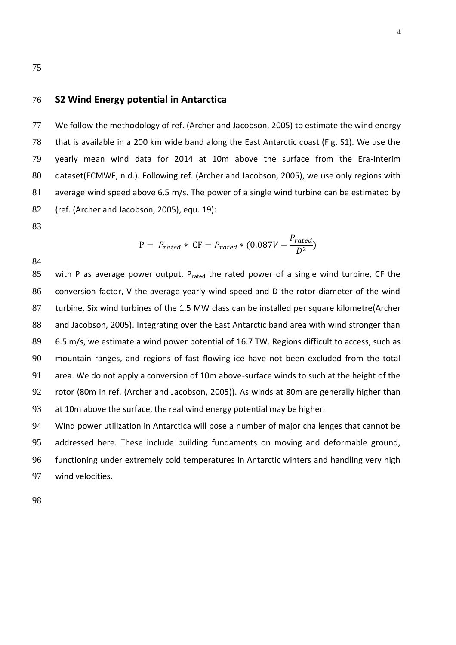#### **S2 Wind Energy potential in Antarctica**

 We follow the methodology of ref. (Archer and Jacobson, 2005) to estimate the wind energy that is available in a 200 km wide band along the East Antarctic coast (Fig. S1). We use the yearly mean wind data for 2014 at 10m above the surface from the Era-Interim dataset(ECMWF, n.d.). Following ref. (Archer and Jacobson, 2005), we use only regions with average wind speed above 6.5 m/s. The power of a single wind turbine can be estimated by (ref. (Archer and Jacobson, 2005), equ. 19):

 $P = P_{rated} * CF = P_{rated} * (0.087V -$ 

 $P_{rated}$  $\frac{ueu}{D^2}$ 

$$
\phantom{0}83
$$

85 with P as average power output,  $P_{\text{rated}}$  the rated power of a single wind turbine, CF the conversion factor, V the average yearly wind speed and D the rotor diameter of the wind turbine. Six wind turbines of the 1.5 MW class can be installed per square kilometre(Archer 88 and Jacobson, 2005). Integrating over the East Antarctic band area with wind stronger than 6.5 m/s, we estimate a wind power potential of 16.7 TW. Regions difficult to access, such as mountain ranges, and regions of fast flowing ice have not been excluded from the total area. We do not apply a conversion of 10m above-surface winds to such at the height of the rotor (80m in ref. (Archer and Jacobson, 2005)). As winds at 80m are generally higher than 93 at 10m above the surface, the real wind energy potential may be higher.

 Wind power utilization in Antarctica will pose a number of major challenges that cannot be addressed here. These include building fundaments on moving and deformable ground, functioning under extremely cold temperatures in Antarctic winters and handling very high wind velocities.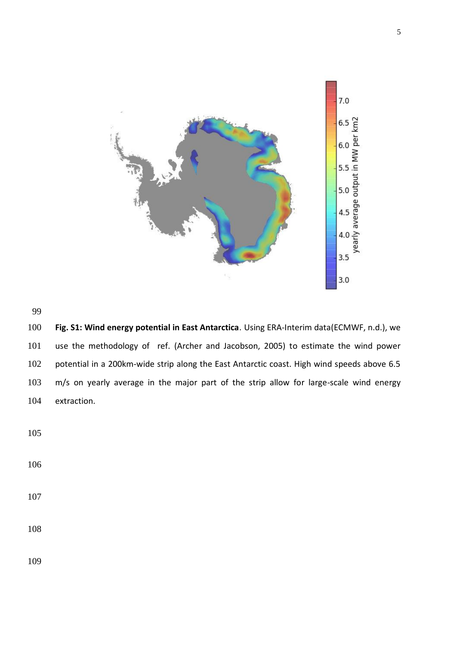



 **Fig. S1: Wind energy potential in East Antarctica**. Using ERA-Interim data(ECMWF, n.d.), we use the methodology of ref. (Archer and Jacobson, 2005) to estimate the wind power potential in a 200km-wide strip along the East Antarctic coast. High wind speeds above 6.5 m/s on yearly average in the major part of the strip allow for large-scale wind energy extraction.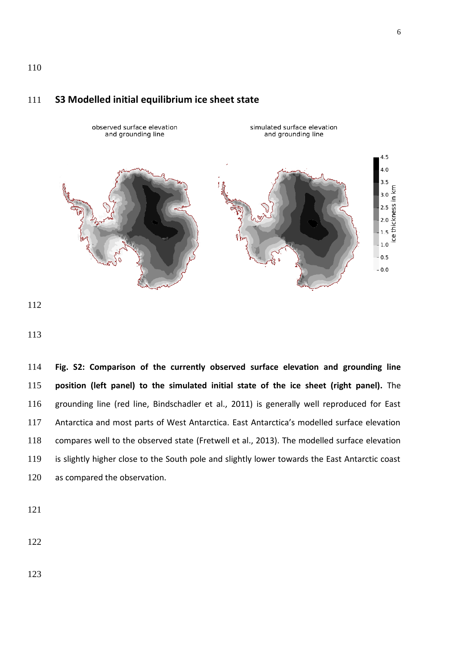### **S3 Modelled initial equilibrium ice sheet state**



 **Fig. S2: Comparison of the currently observed surface elevation and grounding line position (left panel) to the simulated initial state of the ice sheet (right panel).** The grounding line (red line, Bindschadler et al., 2011) is generally well reproduced for East Antarctica and most parts of West Antarctica. East Antarctica's modelled surface elevation compares well to the observed state (Fretwell et al., 2013). The modelled surface elevation is slightly higher close to the South pole and slightly lower towards the East Antarctic coast 120 as compared the observation.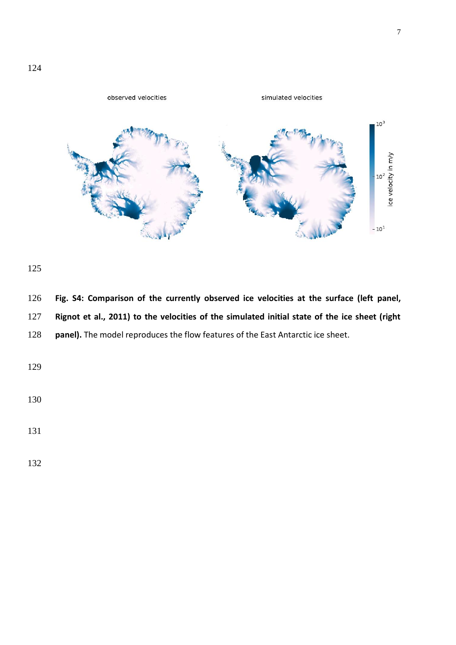

 **Fig. S4: Comparison of the currently observed ice velocities at the surface (left panel, Rignot et al., 2011) to the velocities of the simulated initial state of the ice sheet (right panel).** The model reproduces the flow features of the East Antarctic ice sheet.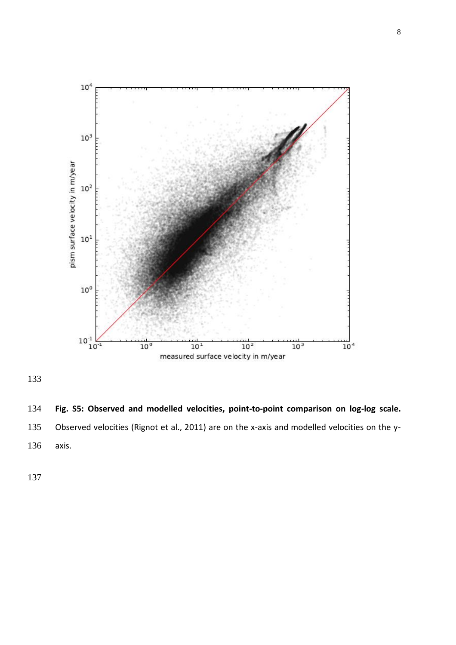

 **Fig. S5: Observed and modelled velocities, point-to-point comparison on log-log scale.** Observed velocities (Rignot et al., 2011) are on the x-axis and modelled velocities on the y-axis.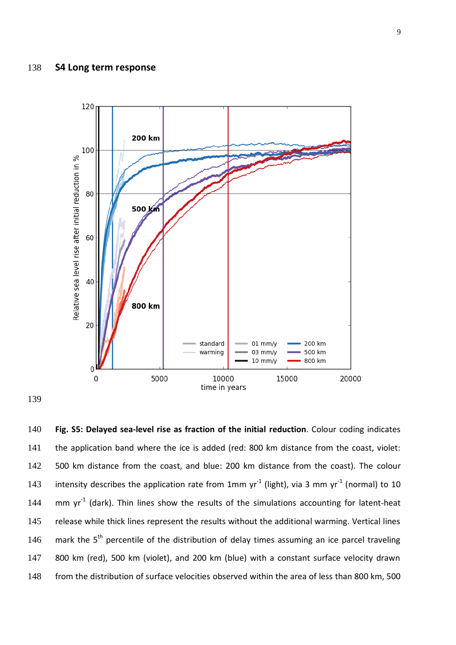#### 138 **S4 Long term response**



139

140 **Fig. S5: Delayed sea-level rise as fraction of the initial reduction**. Colour coding indicates 141 the application band where the ice is added (red: 800 km distance from the coast, violet: 142 500 km distance from the coast, and blue: 200 km distance from the coast). The colour 143 intensity describes the application rate from 1mm  $yr^{-1}$  (light), via 3 mm  $yr^{-1}$  (normal) to 10 144 mm  $yr^{-1}$  (dark). Thin lines show the results of the simulations accounting for latent-heat 145 release while thick lines represent the results without the additional warming. Vertical lines 146 mark the  $5<sup>th</sup>$  percentile of the distribution of delay times assuming an ice parcel traveling 147 800 km (red), 500 km (violet), and 200 km (blue) with a constant surface velocity drawn 148 from the distribution of surface velocities observed within the area of less than 800 km, 500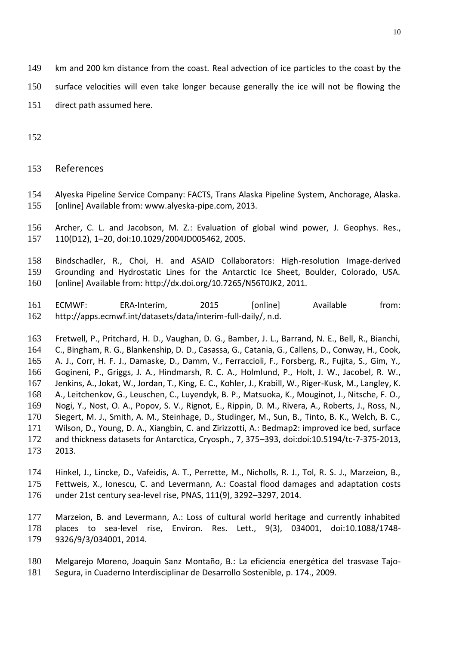- km and 200 km distance from the coast. Real advection of ice particles to the coast by the
- surface velocities will even take longer because generally the ice will not be flowing the
- direct path assumed here.
- 
- References
- Alyeska Pipeline Service Company: FACTS, Trans Alaska Pipeline System, Anchorage, Alaska. [online] Available from: www.alyeska-pipe.com, 2013.
- Archer, C. L. and Jacobson, M. Z.: Evaluation of global wind power, J. Geophys. Res., 110(D12), 1–20, doi:10.1029/2004JD005462, 2005.
- Bindschadler, R., Choi, H. and ASAID Collaborators: High-resolution Image-derived Grounding and Hydrostatic Lines for the Antarctic Ice Sheet, Boulder, Colorado, USA. [online] Available from: http://dx.doi.org/10.7265/N56T0JK2, 2011.
- ECMWF: ERA-Interim, 2015 [online] Available from: http://apps.ecmwf.int/datasets/data/interim-full-daily/, n.d.
- Fretwell, P., Pritchard, H. D., Vaughan, D. G., Bamber, J. L., Barrand, N. E., Bell, R., Bianchi, C., Bingham, R. G., Blankenship, D. D., Casassa, G., Catania, G., Callens, D., Conway, H., Cook, A. J., Corr, H. F. J., Damaske, D., Damm, V., Ferraccioli, F., Forsberg, R., Fujita, S., Gim, Y., Gogineni, P., Griggs, J. A., Hindmarsh, R. C. A., Holmlund, P., Holt, J. W., Jacobel, R. W., Jenkins, A., Jokat, W., Jordan, T., King, E. C., Kohler, J., Krabill, W., Riger-Kusk, M., Langley, K. A., Leitchenkov, G., Leuschen, C., Luyendyk, B. P., Matsuoka, K., Mouginot, J., Nitsche, F. O., Nogi, Y., Nost, O. A., Popov, S. V., Rignot, E., Rippin, D. M., Rivera, A., Roberts, J., Ross, N., Siegert, M. J., Smith, A. M., Steinhage, D., Studinger, M., Sun, B., Tinto, B. K., Welch, B. C., Wilson, D., Young, D. A., Xiangbin, C. and Zirizzotti, A.: Bedmap2: improved ice bed, surface and thickness datasets for Antarctica, Cryosph., 7, 375–393, doi:doi:10.5194/tc-7-375-2013, 2013.
- Hinkel, J., Lincke, D., Vafeidis, A. T., Perrette, M., Nicholls, R. J., Tol, R. S. J., Marzeion, B., Fettweis, X., Ionescu, C. and Levermann, A.: Coastal flood damages and adaptation costs under 21st century sea-level rise, PNAS, 111(9), 3292–3297, 2014.
- Marzeion, B. and Levermann, A.: Loss of cultural world heritage and currently inhabited places to sea-level rise, Environ. Res. Lett., 9(3), 034001, doi:10.1088/1748- 9326/9/3/034001, 2014.
- Melgarejo Moreno, Joaquín Sanz Montaño, B.: La eficiencia energética del trasvase Tajo-Segura, in Cuaderno Interdisciplinar de Desarrollo Sostenible, p. 174., 2009.